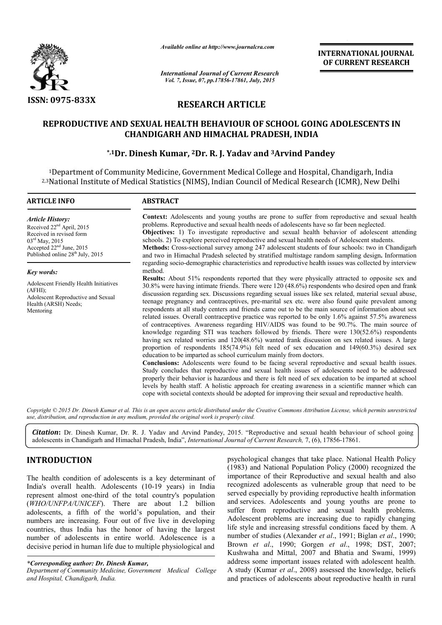

*Available online at http://www.journalcra.com*

# **RESEARCH ARTICLE**

# REPRODUCTIVE AND SEXUAL HEALTH BEHAVIOUR OF SCHOOL GOING ADOLESCENTS IN<br>CHANDIGARH AND HIMACHAL PRADESH, INDIA<br><sup>\*,1</sup>Dr. Dinesh Kumar, <sup>2</sup>Dr. R. J. Yadav and <sup>3</sup>Arvind Pandey\* **CHANDIGARH AND HIMACHAL PRADESH, INDIA**

# **\*,1Dr. Dinesh Kumar, 2Dr. R. J. Yadav and 3Arvind Pandey**

|                                                                                                                                                                                                                                                                                                                                                                                                                                                                                                                                                                                            | unuvic viime ui mip://www.jvurnuicru.com                                                                                          |                                                                                                                                                                                                                                                                                                                                                                                                                                                                                                                                                                                                                                                                                                                                                                    | <b>INTERNATIONAL JOURNAL</b><br>OF CURRENT RESEARCH                                                                                                                                                                                                                                                                                                                                                                                                                                                                                                                                                                                                                                                                                                                                                                                                                                                                                                                                                                                                                                                                                                                                                                                                                                                                                                                                                                                                                                                                                                                                                                                                                      |  |  |
|--------------------------------------------------------------------------------------------------------------------------------------------------------------------------------------------------------------------------------------------------------------------------------------------------------------------------------------------------------------------------------------------------------------------------------------------------------------------------------------------------------------------------------------------------------------------------------------------|-----------------------------------------------------------------------------------------------------------------------------------|--------------------------------------------------------------------------------------------------------------------------------------------------------------------------------------------------------------------------------------------------------------------------------------------------------------------------------------------------------------------------------------------------------------------------------------------------------------------------------------------------------------------------------------------------------------------------------------------------------------------------------------------------------------------------------------------------------------------------------------------------------------------|--------------------------------------------------------------------------------------------------------------------------------------------------------------------------------------------------------------------------------------------------------------------------------------------------------------------------------------------------------------------------------------------------------------------------------------------------------------------------------------------------------------------------------------------------------------------------------------------------------------------------------------------------------------------------------------------------------------------------------------------------------------------------------------------------------------------------------------------------------------------------------------------------------------------------------------------------------------------------------------------------------------------------------------------------------------------------------------------------------------------------------------------------------------------------------------------------------------------------------------------------------------------------------------------------------------------------------------------------------------------------------------------------------------------------------------------------------------------------------------------------------------------------------------------------------------------------------------------------------------------------------------------------------------------------|--|--|
|                                                                                                                                                                                                                                                                                                                                                                                                                                                                                                                                                                                            | <b>International Journal of Current Research</b><br>Vol. 7, Issue, 07, pp.17856-17861, July, 2015                                 |                                                                                                                                                                                                                                                                                                                                                                                                                                                                                                                                                                                                                                                                                                                                                                    |                                                                                                                                                                                                                                                                                                                                                                                                                                                                                                                                                                                                                                                                                                                                                                                                                                                                                                                                                                                                                                                                                                                                                                                                                                                                                                                                                                                                                                                                                                                                                                                                                                                                          |  |  |
| <b>ISSN: 0975-833X</b>                                                                                                                                                                                                                                                                                                                                                                                                                                                                                                                                                                     |                                                                                                                                   | <b>RESEARCH ARTICLE</b>                                                                                                                                                                                                                                                                                                                                                                                                                                                                                                                                                                                                                                                                                                                                            |                                                                                                                                                                                                                                                                                                                                                                                                                                                                                                                                                                                                                                                                                                                                                                                                                                                                                                                                                                                                                                                                                                                                                                                                                                                                                                                                                                                                                                                                                                                                                                                                                                                                          |  |  |
|                                                                                                                                                                                                                                                                                                                                                                                                                                                                                                                                                                                            | <b>CHANDIGARH AND HIMACHAL PRADESH, INDIA</b><br>*,1Dr. Dinesh Kumar, <sup>2</sup> Dr. R. J. Yadav and <sup>3</sup> Arvind Pandey |                                                                                                                                                                                                                                                                                                                                                                                                                                                                                                                                                                                                                                                                                                                                                                    | REPRODUCTIVE AND SEXUAL HEALTH BEHAVIOUR OF SCHOOL GOING ADOLESCENTS IN                                                                                                                                                                                                                                                                                                                                                                                                                                                                                                                                                                                                                                                                                                                                                                                                                                                                                                                                                                                                                                                                                                                                                                                                                                                                                                                                                                                                                                                                                                                                                                                                  |  |  |
|                                                                                                                                                                                                                                                                                                                                                                                                                                                                                                                                                                                            | <sup>1</sup> Department of Community Medicine, Government Medical College and Hospital, Chandigarh, India                         |                                                                                                                                                                                                                                                                                                                                                                                                                                                                                                                                                                                                                                                                                                                                                                    | <sup>2,3</sup> National Institute of Medical Statistics (NIMS), Indian Council of Medical Research (ICMR), New Delhi                                                                                                                                                                                                                                                                                                                                                                                                                                                                                                                                                                                                                                                                                                                                                                                                                                                                                                                                                                                                                                                                                                                                                                                                                                                                                                                                                                                                                                                                                                                                                     |  |  |
| <b>ARTICLE INFO</b>                                                                                                                                                                                                                                                                                                                                                                                                                                                                                                                                                                        | <b>ABSTRACT</b>                                                                                                                   |                                                                                                                                                                                                                                                                                                                                                                                                                                                                                                                                                                                                                                                                                                                                                                    |                                                                                                                                                                                                                                                                                                                                                                                                                                                                                                                                                                                                                                                                                                                                                                                                                                                                                                                                                                                                                                                                                                                                                                                                                                                                                                                                                                                                                                                                                                                                                                                                                                                                          |  |  |
| <b>Article History:</b><br>Received 22 <sup>nd</sup> April, 2015<br>Received in revised form<br>03rd May, 2015<br>Accepted 22 <sup>nd</sup> June, 2015<br>Published online 28 <sup>th</sup> July, 2015                                                                                                                                                                                                                                                                                                                                                                                     |                                                                                                                                   | problems. Reproductive and sexual health needs of adolescents have so far been neglected.                                                                                                                                                                                                                                                                                                                                                                                                                                                                                                                                                                                                                                                                          | Context: Adolescents and young youths are prone to suffer from reproductive and sexual health<br>Objectives: 1) To investigate reproductive and sexual health behavior of adolescent attending<br>schools. 2) To explore perceived reproductive and sexual health needs of Adolescent students.<br>Methods: Cross-sectional survey among 247 adolescent students of four schools: two in Chandigarh<br>and two in Himachal Pradesh selected by stratified multistage random sampling design. Information                                                                                                                                                                                                                                                                                                                                                                                                                                                                                                                                                                                                                                                                                                                                                                                                                                                                                                                                                                                                                                                                                                                                                                 |  |  |
| Key words:<br>Adolescent Friendly Health Initiatives<br>(AFHI);<br>Adolescent Reproductive and Sexual<br>Health (ARSH) Needs;<br>Mentoring                                                                                                                                                                                                                                                                                                                                                                                                                                                 | method.                                                                                                                           | education to be imparted as school curriculum mainly from doctors.                                                                                                                                                                                                                                                                                                                                                                                                                                                                                                                                                                                                                                                                                                 | regarding socio-demographic characteristics and reproductive health issues was collected by interview<br>Results: About 51% respondents reported that they were physically attracted to opposite sex and<br>30.8% were having intimate friends. There were 120 (48.6%) respondents who desired open and frank<br>discussion regarding sex. Discussions regarding sexual issues like sex related, material sexual abuse,<br>teenage pregnancy and contraceptives, pre-marital sex etc. were also found quite prevalent among<br>respondents at all study centers and friends came out to be the main source of information about sex<br>related issues. Overall contraceptive practice was reported to be only 1.6% against 57.5% awareness<br>of contraceptives. Awareness regarding HIV/AIDS was found to be 90.7%. The main source of<br>knowledge regarding STI was teachers followed by friends. There were $130(52.6%)$ respondents<br>having sex related worries and 120(48.6%) wanted frank discussion on sex related issues. A large<br>proportion of respondents $185(74.9%)$ felt need of sex education and $149(60.3%)$ desired sex<br>Conclusions: Adolescents were found to be facing several reproductive and sexual health issues.<br>Study concludes that reproductive and sexual health issues of adolescents need to be addressed<br>properly their behavior is hazardous and there is felt need of sex education to be imparted at school<br>levels by health staff. A holistic approach for creating awareness in a scientific manner which can<br>cope with societal contexts should be adopted for improving their sexual and reproductive health. |  |  |
| use, distribution, and reproduction in any medium, provided the original work is properly cited.                                                                                                                                                                                                                                                                                                                                                                                                                                                                                           |                                                                                                                                   |                                                                                                                                                                                                                                                                                                                                                                                                                                                                                                                                                                                                                                                                                                                                                                    | Copyright © 2015 Dr. Dinesh Kumar et al. This is an open access article distributed under the Creative Commons Attribution License, which permits unrestricted                                                                                                                                                                                                                                                                                                                                                                                                                                                                                                                                                                                                                                                                                                                                                                                                                                                                                                                                                                                                                                                                                                                                                                                                                                                                                                                                                                                                                                                                                                           |  |  |
| adolescents in Chandigarh and Himachal Pradesh, India", International Journal of Current Research, 7, (6), 17856-17861.                                                                                                                                                                                                                                                                                                                                                                                                                                                                    |                                                                                                                                   |                                                                                                                                                                                                                                                                                                                                                                                                                                                                                                                                                                                                                                                                                                                                                                    | Citation: Dr. Dinesh Kumar, Dr. R. J. Yadav and Arvind Pandey, 2015. "Reproductive and sexual health behaviour of school going                                                                                                                                                                                                                                                                                                                                                                                                                                                                                                                                                                                                                                                                                                                                                                                                                                                                                                                                                                                                                                                                                                                                                                                                                                                                                                                                                                                                                                                                                                                                           |  |  |
| <b>INTRODUCTION</b><br>The health condition of adolescents is a key determinant of<br>India's overall health. Adolescents (10-19 years) in India<br>represent almost one-third of the total country's population<br>(WHO/UNFPA/UNICEF). There are about 1.2 billion<br>adolescents, a fifth of the world's population, and their<br>numbers are increasing. Four out of five live in developing<br>countries, thus India has the honor of having the largest<br>number of adolescents in entire world. Adolescence is a<br>decisive period in human life due to multiple physiological and |                                                                                                                                   | psychological changes that take place. National Health Policy<br>(1983) and National Population Policy (2000) recognized the<br>importance of their Reproductive and sexual health and also<br>recognized adolescents as vulnerable group that need to be<br>served especially by providing reproductive health information<br>and services. Adolescents and young youths are prone to<br>suffer from reproductive and sexual health problems.<br>Adolescent problems are increasing due to rapidly changing<br>life style and increasing stressful conditions faced by them. A<br>number of studies (Alexander et al., 1991; Biglan et al., 1990;<br>Brown et al., 1990; Gorgen et al., 1998; DST, 2007;<br>Kushwaha and Mittal, 2007 and Bhatia and Swami, 1999) |                                                                                                                                                                                                                                                                                                                                                                                                                                                                                                                                                                                                                                                                                                                                                                                                                                                                                                                                                                                                                                                                                                                                                                                                                                                                                                                                                                                                                                                                                                                                                                                                                                                                          |  |  |
| *Corresponding author: Dr. Dinesh Kumar,<br>Department of Community Medicine, Government Medical College<br>and Hospital, Chandigarh, India.                                                                                                                                                                                                                                                                                                                                                                                                                                               |                                                                                                                                   |                                                                                                                                                                                                                                                                                                                                                                                                                                                                                                                                                                                                                                                                                                                                                                    | address some important issues related with adolescent health.<br>A study (Kumar et al., 2008) assessed the knowledge, beliefs<br>and practices of adolescents about reproductive health in rural                                                                                                                                                                                                                                                                                                                                                                                                                                                                                                                                                                                                                                                                                                                                                                                                                                                                                                                                                                                                                                                                                                                                                                                                                                                                                                                                                                                                                                                                         |  |  |

## **INTRODUCTION**

*<sup>\*</sup>Corresponding author: Dr. Dinesh Kumar,*

*Department of Community Medicine, Government Medical College and Hospital, Chandigarh, India.*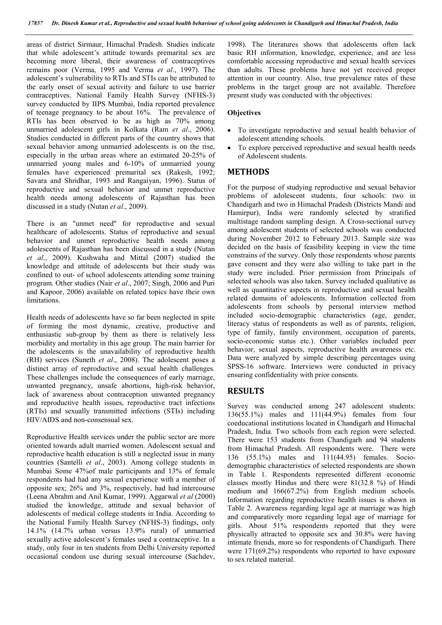areas of district Sirmaur, Himachal Pradesh. Studies indicate that while adolescent's attitude towards premarital sex are becoming more liberal, their awareness of contraceptives remains poor (Verma, 1995 and Verma *et al*., 1997). The adolescent's vulnerability to RTIs and STIs can be attributed to the early onset of sexual activity and failure to use barrier contraceptives. National Family Health Survey (NFHS-3) survey conducted by IIPS Mumbai, India reported prevalence of teenage pregnancy to be about 16%. The prevalence of RTIs has been observed to be as high as 70% among unmarried adolescent girls in Kolkata (Ram *et al*., 2006). Studies conducted in different parts of the country shows that sexual behavior among unmarried adolescents is on the rise, especially in the urban areas where an estimated 20-25% of unmarried young males and 6-10% of unmarried young females have experienced premarital sex (Rakesh, 1992; Savara and Shridhar, 1993 and Rangaiyan, 1996). Status of reproductive and sexual behavior and unmet reproductive health needs among adolescents of Rajasthan has been discussed in a study (Nutan *et al*., 2009).

There is an "unmet need" for reproductive and sexual healthcare of adolescents. Status of reproductive and sexual behavior and unmet reproductive health needs among adolescents of Rajasthan has been discussed in a study (Nutan *et al*., 2009). Kushwaha and Mittal (2007) studied the knowledge and attitude of adolescents but their study was confined to out- of school adolescents attending some training program. Other studies (Nair *et al*., 2007; Singh, 2006 and Puri and Kapoor, 2006) available on related topics have their own limitations.

Health needs of adolescents have so far been neglected in spite of forming the most dynamic, creative, productive and enthusiastic sub-group by them as there is relatively less morbidity and mortality in this age group. The main barrier for the adolescents is the unavailability of reproductive health (RH) services (Suneth *et al*., 2008). The adolescent poses a distinct array of reproductive and sexual health challenges. These challenges include the consequences of early marriage, unwanted pregnancy, unsafe abortions, high-risk behavior, lack of awareness about contraception unwanted pregnancy and reproductive health issues, reproductive tract infections (RTIs) and sexually transmitted infections (STIs) including HIV/AIDS and non-consensual sex.

Reproductive Health services under the public sector are more oriented towards adult married women. Adolescent sexual and reproductive health education is still a neglected issue in many countries (Santelli *et al*., 2003). Among college students in Mumbai Some 47%of male participants and 13% of female respondents had had any sexual experience with a member of opposite sex; 26% and 3%, respectively, had had intercourse (Leena Abrahm and Anil Kumar, 1999). Aggarwal *et al* (2000) studied the knowledge, attitude and sexual behavior of adolescents of medical college students in India. According to the National Family Health Survey (NFHS-3) findings, only 14.1% (14.7% urban versus 13.9% rural) of unmarried sexually active adolescent's females used a contraceptive. In a study, only four in ten students from Delhi University reported occasional condom use during sexual intercourse (Sachdev,

1998). The literatures shows that adolescents often lack basic RH information, knowledge, experience, and are less comfortable accessing reproductive and sexual health services than adults. These problems have not yet received proper attention in our country. Also, true prevalence rates of these problems in the target group are not available. Therefore present study was conducted with the objectives:

#### **Objectives**

- To investigate reproductive and sexual health behavior of adolescent attending schools.
- To explore perceived reproductive and sexual health needs of Adolescent students.

#### **METHODS**

For the purpose of studying reproductive and sexual behavior problems of adolescent students, four schools: two in Chandigarh and two in Himachal Pradesh (Districts Mandi and Hamirpur), India were randomly selected by stratified multistage random sampling design. A Cross-sectional survey among adolescent students of selected schools was conducted during November 2012 to February 2013. Sample size was decided on the basis of feasibility keeping in view the time constrains of the survey. Only those respondents whose parents gave consent and they were also willing to take part in the study were included. Prior permission from Principals of selected schools was also taken. Survey included qualitative as well as quantitative aspects in reproductive and sexual health related domains of adolescents. Information collected from adolescents from schools by personal interview method included socio-demographic characteristics (age, gender, literacy status of respondents as well as of parents, religion, type of family, family environment, occupation of parents, socio-economic status etc.). Other variables included peer behavior, sexual aspects, reproductive health awareness etc. Data were analyzed by simple describing percentages using SPSS-16 software. Interviews were conducted in privacy ensuring confidentiality with prior consents.

#### **RESULTS**

Survey was conducted among 247 adolescent students: 136(55.1%) males and 111(44.9%) females from four coeducational institutions located in Chandigarh and Himachal Pradesh, India. Two schools from each region were selected. There were 153 students from Chandigarh and 94 students from Himachal Pradesh. All respondents were. There were 136 (55.1%) males and 111(44.95) females. Sociodemographic characteristics of selected respondents are shown in Table 1. Respondents represented different economic classes mostly Hindus and there were 81(32.8 %) of Hindi medium and 166(67.2%) from English medium schools. Information regarding reproductive health issues is shown in Table 2. Awareness regarding legal age at marriage was high and comparatively more regarding legal age of marriage for girls. About 51% respondents reported that they were physically attracted to opposite sex and 30.8% were having intimate friends, more so for respondents of Chandigarh. There were 171(69.2%) respondents who reported to have exposure to sex related material.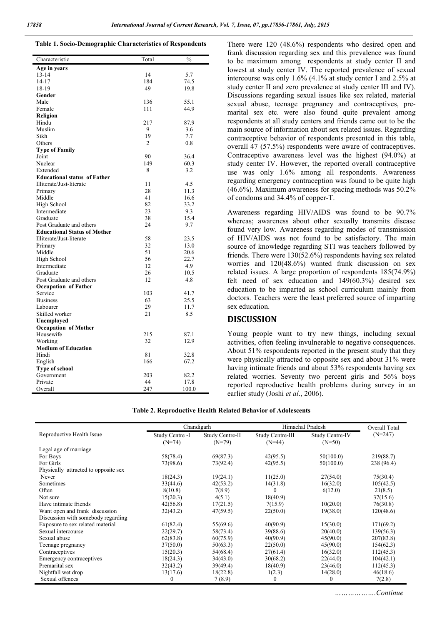| Age in years<br>$13 - 14$<br>14<br>5.7<br>$14-17$<br>184<br>74.5<br>18-19<br>49<br>19.8<br>Gender<br>136<br>55.1<br>Male<br>44.9<br>Female<br>111<br>Religion<br>217<br>87.9<br>Hindu<br>Muslim<br>9<br>3.6<br>7.7<br>Sikh<br>19<br>2<br>0.8<br>Others<br><b>Type of Family</b><br>36.4<br>Joint<br>90<br>Nuclear<br>149<br>60.3<br>8<br>3.2<br>Extended<br><b>Educational status of Father</b><br>4.5<br>Illiterate/Just-literate<br>11<br>28<br>11.3<br>Primary<br>41<br>16.6<br>Middle<br>82<br>High School<br>33.2<br>23<br>Intermediate<br>9.3<br>38<br>15.4<br>Graduate<br>24<br>9.7<br>Post Graduate and others<br><b>Educational Status of Mother</b><br>58<br>Illiterate/Just-literate<br>23.5<br>32<br>13.0<br>Primary<br>51<br>Middle<br>20.6<br>56<br>High School<br>22.7<br>Intermediate<br>12<br>4.9<br>26<br>Graduate<br>10.5<br>12<br>4.8<br>Post Graduate and others<br><b>Occupation of Father</b><br>Service<br>103<br>41.7<br><b>Business</b><br>63<br>25.5<br>29<br>11.7<br>Labourer<br>21<br>8.5<br>Skilled worker<br>Unemployed<br><b>Occupation of Mother</b><br>Housewife<br>215<br>87.1<br>32<br>12.9<br>Working<br><b>Medium of Education</b><br>Hindi<br>81<br>32.8<br>67.2<br>166<br>English | Characteristic        | Total | $\frac{0}{0}$ |
|---------------------------------------------------------------------------------------------------------------------------------------------------------------------------------------------------------------------------------------------------------------------------------------------------------------------------------------------------------------------------------------------------------------------------------------------------------------------------------------------------------------------------------------------------------------------------------------------------------------------------------------------------------------------------------------------------------------------------------------------------------------------------------------------------------------------------------------------------------------------------------------------------------------------------------------------------------------------------------------------------------------------------------------------------------------------------------------------------------------------------------------------------------------------------------------------------------------------------|-----------------------|-------|---------------|
|                                                                                                                                                                                                                                                                                                                                                                                                                                                                                                                                                                                                                                                                                                                                                                                                                                                                                                                                                                                                                                                                                                                                                                                                                           |                       |       |               |
|                                                                                                                                                                                                                                                                                                                                                                                                                                                                                                                                                                                                                                                                                                                                                                                                                                                                                                                                                                                                                                                                                                                                                                                                                           |                       |       |               |
|                                                                                                                                                                                                                                                                                                                                                                                                                                                                                                                                                                                                                                                                                                                                                                                                                                                                                                                                                                                                                                                                                                                                                                                                                           |                       |       |               |
|                                                                                                                                                                                                                                                                                                                                                                                                                                                                                                                                                                                                                                                                                                                                                                                                                                                                                                                                                                                                                                                                                                                                                                                                                           |                       |       |               |
|                                                                                                                                                                                                                                                                                                                                                                                                                                                                                                                                                                                                                                                                                                                                                                                                                                                                                                                                                                                                                                                                                                                                                                                                                           |                       |       |               |
|                                                                                                                                                                                                                                                                                                                                                                                                                                                                                                                                                                                                                                                                                                                                                                                                                                                                                                                                                                                                                                                                                                                                                                                                                           |                       |       |               |
|                                                                                                                                                                                                                                                                                                                                                                                                                                                                                                                                                                                                                                                                                                                                                                                                                                                                                                                                                                                                                                                                                                                                                                                                                           |                       |       |               |
|                                                                                                                                                                                                                                                                                                                                                                                                                                                                                                                                                                                                                                                                                                                                                                                                                                                                                                                                                                                                                                                                                                                                                                                                                           |                       |       |               |
|                                                                                                                                                                                                                                                                                                                                                                                                                                                                                                                                                                                                                                                                                                                                                                                                                                                                                                                                                                                                                                                                                                                                                                                                                           |                       |       |               |
|                                                                                                                                                                                                                                                                                                                                                                                                                                                                                                                                                                                                                                                                                                                                                                                                                                                                                                                                                                                                                                                                                                                                                                                                                           |                       |       |               |
|                                                                                                                                                                                                                                                                                                                                                                                                                                                                                                                                                                                                                                                                                                                                                                                                                                                                                                                                                                                                                                                                                                                                                                                                                           |                       |       |               |
|                                                                                                                                                                                                                                                                                                                                                                                                                                                                                                                                                                                                                                                                                                                                                                                                                                                                                                                                                                                                                                                                                                                                                                                                                           |                       |       |               |
|                                                                                                                                                                                                                                                                                                                                                                                                                                                                                                                                                                                                                                                                                                                                                                                                                                                                                                                                                                                                                                                                                                                                                                                                                           |                       |       |               |
|                                                                                                                                                                                                                                                                                                                                                                                                                                                                                                                                                                                                                                                                                                                                                                                                                                                                                                                                                                                                                                                                                                                                                                                                                           |                       |       |               |
|                                                                                                                                                                                                                                                                                                                                                                                                                                                                                                                                                                                                                                                                                                                                                                                                                                                                                                                                                                                                                                                                                                                                                                                                                           |                       |       |               |
|                                                                                                                                                                                                                                                                                                                                                                                                                                                                                                                                                                                                                                                                                                                                                                                                                                                                                                                                                                                                                                                                                                                                                                                                                           |                       |       |               |
|                                                                                                                                                                                                                                                                                                                                                                                                                                                                                                                                                                                                                                                                                                                                                                                                                                                                                                                                                                                                                                                                                                                                                                                                                           |                       |       |               |
|                                                                                                                                                                                                                                                                                                                                                                                                                                                                                                                                                                                                                                                                                                                                                                                                                                                                                                                                                                                                                                                                                                                                                                                                                           |                       |       |               |
|                                                                                                                                                                                                                                                                                                                                                                                                                                                                                                                                                                                                                                                                                                                                                                                                                                                                                                                                                                                                                                                                                                                                                                                                                           |                       |       |               |
|                                                                                                                                                                                                                                                                                                                                                                                                                                                                                                                                                                                                                                                                                                                                                                                                                                                                                                                                                                                                                                                                                                                                                                                                                           |                       |       |               |
|                                                                                                                                                                                                                                                                                                                                                                                                                                                                                                                                                                                                                                                                                                                                                                                                                                                                                                                                                                                                                                                                                                                                                                                                                           |                       |       |               |
|                                                                                                                                                                                                                                                                                                                                                                                                                                                                                                                                                                                                                                                                                                                                                                                                                                                                                                                                                                                                                                                                                                                                                                                                                           |                       |       |               |
|                                                                                                                                                                                                                                                                                                                                                                                                                                                                                                                                                                                                                                                                                                                                                                                                                                                                                                                                                                                                                                                                                                                                                                                                                           |                       |       |               |
|                                                                                                                                                                                                                                                                                                                                                                                                                                                                                                                                                                                                                                                                                                                                                                                                                                                                                                                                                                                                                                                                                                                                                                                                                           |                       |       |               |
|                                                                                                                                                                                                                                                                                                                                                                                                                                                                                                                                                                                                                                                                                                                                                                                                                                                                                                                                                                                                                                                                                                                                                                                                                           |                       |       |               |
|                                                                                                                                                                                                                                                                                                                                                                                                                                                                                                                                                                                                                                                                                                                                                                                                                                                                                                                                                                                                                                                                                                                                                                                                                           |                       |       |               |
|                                                                                                                                                                                                                                                                                                                                                                                                                                                                                                                                                                                                                                                                                                                                                                                                                                                                                                                                                                                                                                                                                                                                                                                                                           |                       |       |               |
|                                                                                                                                                                                                                                                                                                                                                                                                                                                                                                                                                                                                                                                                                                                                                                                                                                                                                                                                                                                                                                                                                                                                                                                                                           |                       |       |               |
|                                                                                                                                                                                                                                                                                                                                                                                                                                                                                                                                                                                                                                                                                                                                                                                                                                                                                                                                                                                                                                                                                                                                                                                                                           |                       |       |               |
|                                                                                                                                                                                                                                                                                                                                                                                                                                                                                                                                                                                                                                                                                                                                                                                                                                                                                                                                                                                                                                                                                                                                                                                                                           |                       |       |               |
|                                                                                                                                                                                                                                                                                                                                                                                                                                                                                                                                                                                                                                                                                                                                                                                                                                                                                                                                                                                                                                                                                                                                                                                                                           |                       |       |               |
|                                                                                                                                                                                                                                                                                                                                                                                                                                                                                                                                                                                                                                                                                                                                                                                                                                                                                                                                                                                                                                                                                                                                                                                                                           |                       |       |               |
|                                                                                                                                                                                                                                                                                                                                                                                                                                                                                                                                                                                                                                                                                                                                                                                                                                                                                                                                                                                                                                                                                                                                                                                                                           |                       |       |               |
|                                                                                                                                                                                                                                                                                                                                                                                                                                                                                                                                                                                                                                                                                                                                                                                                                                                                                                                                                                                                                                                                                                                                                                                                                           |                       |       |               |
|                                                                                                                                                                                                                                                                                                                                                                                                                                                                                                                                                                                                                                                                                                                                                                                                                                                                                                                                                                                                                                                                                                                                                                                                                           |                       |       |               |
|                                                                                                                                                                                                                                                                                                                                                                                                                                                                                                                                                                                                                                                                                                                                                                                                                                                                                                                                                                                                                                                                                                                                                                                                                           |                       |       |               |
|                                                                                                                                                                                                                                                                                                                                                                                                                                                                                                                                                                                                                                                                                                                                                                                                                                                                                                                                                                                                                                                                                                                                                                                                                           |                       |       |               |
|                                                                                                                                                                                                                                                                                                                                                                                                                                                                                                                                                                                                                                                                                                                                                                                                                                                                                                                                                                                                                                                                                                                                                                                                                           |                       |       |               |
|                                                                                                                                                                                                                                                                                                                                                                                                                                                                                                                                                                                                                                                                                                                                                                                                                                                                                                                                                                                                                                                                                                                                                                                                                           |                       |       |               |
|                                                                                                                                                                                                                                                                                                                                                                                                                                                                                                                                                                                                                                                                                                                                                                                                                                                                                                                                                                                                                                                                                                                                                                                                                           |                       |       |               |
|                                                                                                                                                                                                                                                                                                                                                                                                                                                                                                                                                                                                                                                                                                                                                                                                                                                                                                                                                                                                                                                                                                                                                                                                                           |                       |       |               |
|                                                                                                                                                                                                                                                                                                                                                                                                                                                                                                                                                                                                                                                                                                                                                                                                                                                                                                                                                                                                                                                                                                                                                                                                                           |                       |       |               |
|                                                                                                                                                                                                                                                                                                                                                                                                                                                                                                                                                                                                                                                                                                                                                                                                                                                                                                                                                                                                                                                                                                                                                                                                                           |                       |       |               |
|                                                                                                                                                                                                                                                                                                                                                                                                                                                                                                                                                                                                                                                                                                                                                                                                                                                                                                                                                                                                                                                                                                                                                                                                                           |                       |       |               |
|                                                                                                                                                                                                                                                                                                                                                                                                                                                                                                                                                                                                                                                                                                                                                                                                                                                                                                                                                                                                                                                                                                                                                                                                                           | <b>Type of school</b> |       |               |
| 82.2<br>Government<br>203                                                                                                                                                                                                                                                                                                                                                                                                                                                                                                                                                                                                                                                                                                                                                                                                                                                                                                                                                                                                                                                                                                                                                                                                 |                       |       |               |
| 44<br>17.8<br>Private                                                                                                                                                                                                                                                                                                                                                                                                                                                                                                                                                                                                                                                                                                                                                                                                                                                                                                                                                                                                                                                                                                                                                                                                     |                       |       |               |
| 247<br>100.0<br>Overall                                                                                                                                                                                                                                                                                                                                                                                                                                                                                                                                                                                                                                                                                                                                                                                                                                                                                                                                                                                                                                                                                                                                                                                                   |                       |       |               |

There were 120 (48.6%) respondents who desired open and frank discussion regarding sex and this prevalence was found to be maximum among respondents at study center II and lowest at study center IV. The reported prevalence of sexual intercourse was only 1.6% (4.1% at study center I and 2.5% at study center II and zero prevalence at study center III and IV). Discussions regarding sexual issues like sex related, material sexual abuse, teenage pregnancy and contraceptives, premarital sex etc. were also found quite prevalent among respondents at all study centers and friends came out to be the main source of information about sex related issues. Regarding contraceptive behavior of respondents presented in this table, overall 47 (57.5%) respondents were aware of contraceptives. Contraceptive awareness level was the highest (94.0%) at study center IV. However, the reported overall contraceptive use was only 1.6% among all respondents. Awareness regarding emergency contraception was found to be quite high (46.6%). Maximum awareness for spacing methods was 50.2% of condoms and 34.4% of copper-T.

Awareness regarding HIV/AIDS was found to be 90.7% whereas; awareness about other sexually transmits disease found very low. Awareness regarding modes of transmission of HIV/AIDS was not found to be satisfactory. The main source of knowledge regarding STI was teachers followed by friends. There were 130(52.6%) respondents having sex related worries and  $120(48.6%)$  wanted frank discussion on sex related issues. A large proportion of respondents 185(74.9%) felt need of sex education and 149(60.3%) desired sex education to be imparted as school curriculum mainly from doctors. Teachers were the least preferred source of imparting sex education.

## **DISCUSSION**

Young people want to try new things, including sexual activities, often feeling invulnerable to negative consequences. About 51% respondents reported in the present study that they were physically attracted to opposite sex and about 31% were having intimate friends and about 53% respondents having sex related worries. Seventy two percent girls and 56% boys reported reproductive health problems during survey in an earlier study (Joshi *et al*., 2006).

|                                      | Chandigarh      |                 | Himachal Pradesh |                 | Overall Total |
|--------------------------------------|-----------------|-----------------|------------------|-----------------|---------------|
| Reproductive Health Issue            | Study Centre -I | Study Centre-II | Study Centre-III | Study Centre-IV | $(N=247)$     |
|                                      | $(N=74)$        | $(N=79)$        | $(N=44)$         | $(N=50)$        |               |
| Legal age of marriage                |                 |                 |                  |                 |               |
| For Boys                             | 58(78.4)        | 69(87.3)        | 42(95.5)         | 50(100.0)       | 219(88.7)     |
| For Girls                            | 73(98.6)        | 73(92.4)        | 42(95.5)         | 50(100.0)       | 238 (96.4)    |
| Physically attracted to opposite sex |                 |                 |                  |                 |               |
| Never                                | 18(24.3)        | 19(24.1)        | 11(25.0)         | 27(54.0)        | 75(30.4)      |
| Sometimes                            | 33(44.6)        | 42(53.2)        | 14(31.8)         | 16(32.0)        | 105(42.5)     |
| Often                                | 8(10.8)         | 7(8.9)          | $\Omega$         | 6(12.0)         | 21(8.5)       |
| Not sure                             | 15(20.3)        | 4(5.1)          | 18(40.9)         |                 | 37(15.6)      |
| Have intimate friends                | 42(56.8)        | 17(21.5)        | 7(15.9)          | 10(20.0)        | 76(30.8)      |
| Want open and frank discussion       | 32(43.2)        | 47(59.5)        | 22(50.0)         | 19(38.0)        | 120(48.6)     |
| Discussion with somebody regarding   |                 |                 |                  |                 |               |
| Exposure to sex related material     | 61(82.4)        | 55(69.6)        | 40(90.9)         | 15(30.0)        | 171(69.2)     |
| Sexual intercourse                   | 22(29.7)        | 58(73.4)        | 39(88.6)         | 20(40.0)        | 139(56.3)     |
| Sexual abuse                         | 62(83.8)        | 60(75.9)        | 40(90.9)         | 45(90.0)        | 207(83.8)     |
| Teenage pregnancy                    | 37(50.0)        | 50(63.3)        | 22(50.0)         | 45(90.0)        | 154(62.3)     |
| Contraceptives                       | 15(20.3)        | 54(68.4)        | 27(61.4)         | 16(32.0)        | 112(45.3)     |
| Emergency contraceptives             | 18(24.3)        | 34(43.0)        | 30(68.2)         | 22(44.0)        | 104(42.1)     |
| Premarital sex                       | 32(43.2)        | 39(49.4)        | 18(40.9)         | 23(46.0)        | 112(45.3)     |
| Nightfall wet drop                   | 13(17.6)        | 18(22.8)        | 1(2.3)           | 14(28.0)        | 46(18.6)      |
| Sexual offences                      | $\Omega$        | 7(8.9)          | 0                | 0               | 7(2.8)        |

*……………….Continue*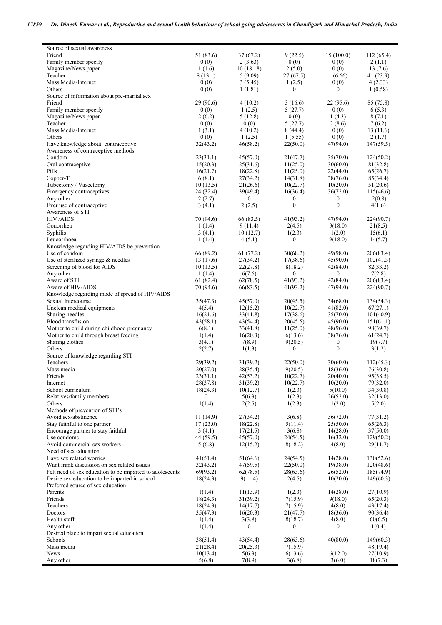| Source of sexual awareness<br>Friend                     | 51 (83.6)    | 37(67.2)         | 9(22.5)          | 15(100.0)        | 112(65.4) |
|----------------------------------------------------------|--------------|------------------|------------------|------------------|-----------|
| Family member specify                                    | 0(0)         | 2(3.63)          | 0(0)             | 0(0)             | 2(1.1)    |
| Magazine/News paper                                      | 1(1.6)       | 10(18.18)        | 2(5.0)           | 0(0)             | 13(7.6)   |
| Teacher                                                  | 8(13.1)      | 5(9.09)          | 27(67.5)         | 1(6.66)          | 41(23.9)  |
| Mass Media/Internet                                      | 0(0)         | 3(5.45)          | 1(2.5)           | 0(0)             | 4(2.33)   |
| Others                                                   |              |                  | 0                | $\boldsymbol{0}$ |           |
|                                                          | 0(0)         | 1(1.81)          |                  |                  | 1(0.58)   |
| Source of information about pre-marital sex              | 29(90.6)     |                  |                  | 22(95.6)         |           |
| Friend                                                   |              | 4(10.2)          | 3(16.6)          |                  | 85 (75.8) |
| Family member specify                                    | 0(0)         | 1(2.5)           | 5(27.7)          | 0(0)             | 6(5.3)    |
| Magazine/News paper                                      | 2(6.2)       | 5(12.8)          | 0(0)             | 1(4.3)           | 8(7.1)    |
| Teacher                                                  | 0(0)         | 0(0)             | 5(27.7)          | 2(8.6)           | 7(6.2)    |
| Mass Media/Internet                                      | 1(3.1)       | 4(10.2)          | 8(44.4)          | 0(0)             | 13(11.6)  |
| Others                                                   | 0(0)         | 1(2.5)           | 1(5.55)          | 0(0)             | 2(1.7)    |
| Have knowledge about contraceptive                       | 32(43.2)     | 46(58.2)         | 22(50.0)         | 47(94.0)         | 147(59.5) |
| Awareness of contraceptive methods                       |              |                  |                  |                  |           |
| Condom                                                   | 23(31.1)     | 45(57.0)         | 21(47.7)         | 35(70.0)         | 124(50.2) |
| Oral contraceptive                                       | 15(20.3)     | 25(31.6)         | 11(25.0)         | 30(60.0)         | 81(32.8)  |
| Pills                                                    | 16(21.7)     | 18(22.8)         | 11(25.0)         | 22(44.0)         | 65(26.7)  |
| Copper-T                                                 | 6(8.1)       | 27(34.2)         | 14(31.8)         | 38(76.0)         | 85(34.4)  |
| Tubectomy / Vasectomy                                    | 10(13.5)     | 21(26.6)         | 10(22.7)         | 10(20.0)         | 51(20.6)  |
| Emergency contraceptives                                 | 24 (32.4)    | 39(49.4)         | 16(36.4)         | 36(72.0)         | 115(46.6) |
| Any other                                                | 2(2.7)       | $\boldsymbol{0}$ | $\boldsymbol{0}$ | $\boldsymbol{0}$ | 2(0.8)    |
| Ever use of contraceptive                                | 3(4.1)       | 2(2.5)           | $\boldsymbol{0}$ | $\boldsymbol{0}$ | 4(1.6)    |
| Awareness of STI                                         |              |                  |                  |                  |           |
| <b>HIV/AIDS</b>                                          | 70 (94.6)    | 66(83.5)         | 41(93.2)         | 47(94.0)         | 224(90.7) |
| Gonorrhea                                                | 1(1.4)       | 9(11.4)          | 2(4.5)           | 9(18.0)          | 21(8.5)   |
| Syphilis                                                 | 3(4.1)       | 10(12.7)         | 1(2.3)           | 1(2.0)           | 15(6.1)   |
| Leucorrhoea                                              | 1(1.4)       | 4(5.1)           | $\boldsymbol{0}$ | 9(18.0)          | 14(5.7)   |
| Knowledge regarding HIV/AIDS be prevention               |              |                  |                  |                  |           |
| Use of condom                                            | 66 (89.2)    | 61(77.2)         | 30(68.2)         | 49(98.0)         | 206(83.4) |
| Use of sterilized syringe $\&$ needles                   | 13(17.6)     | 27(34.2)         | 17(38.6)         | 45(90.0)         | 102(41.3) |
| Screening of blood for AIDS                              | 10(13.5)     | 22(27.8)         | 8(18.2)          | 42(84.0)         | 82(33.2)  |
| Any other                                                | 1(1.4)       | 6(7.6)           | $\boldsymbol{0}$ | $\boldsymbol{0}$ | 7(2.8)    |
| Aware of STI                                             | 61(82.4)     | 62(78.5)         | 41(93.2)         | 42(84.0)         | 206(83.4) |
| Aware of HIV/AIDS                                        | 70 (94.6)    | 66(83.5)         | 41(93.2)         | 47(94.0)         | 224(90.7) |
| Knowledge regarding mode of spread of HIV/AIDS           |              |                  |                  |                  |           |
| Sexual Intercourse                                       | 35(47.3)     | 45(57.0)         | 20(45.5)         | 34(68.0)         | 134(54.3) |
| Unclean medical equipments                               | 4(5.4)       | 12(15.2)         | 10(22.7)         | 41(82.0)         | 67(27.1)  |
| Sharing needles                                          | 16(21.6)     | 33(41.8)         | 17(38.6)         | 35(70.0)         | 101(40.9) |
| <b>Blood</b> transfusion                                 | 43(58.1)     | 43(54.4)         | 20(45.5)         | 45(90.0)         | 151(61.1) |
| Mother to child during childhood pregnancy               | 6(8.1)       | 33(41.8)         | 11(25.0)         | 48(96.0)         | 98(39.7)  |
| Mother to child through breast feeding                   | 1(1.4)       | 16(20.3)         | 6(13.6)          | 38(76.0)         | 61(24.7)  |
| Sharing clothes                                          | 3(4.1)       | 7(8.9)           | 9(20.5)          | $\boldsymbol{0}$ | 19(7.7)   |
| Others                                                   | 2(2.7)       | 1(1.3)           | $\boldsymbol{0}$ | $\boldsymbol{0}$ | 3(1.2)    |
| Source of knowledge regarding STI                        |              |                  |                  |                  |           |
| Teachers                                                 | 29(39.2)     | 31(39.2)         | 22(50.0)         | 30(60.0)         | 112(45.3) |
| Mass media                                               | 20(27.0)     | 28(35.4)         | 9(20.5)          | 18(36.0)         | 76(30.8)  |
| Friends                                                  | 23(31.1)     | 42(53.2)         | 10(22.7)         | 20(40.0)         | 95(38.5)  |
| Internet                                                 | 28(37.8)     | 31(39.2)         | 10(22.7)         | 10(20.0)         | 79(32.0)  |
| School curriculum                                        | 18(24.3)     | 10(12.7)         | 1(2.3)           | 5(10.0)          | 34(30.8)  |
| Relatives/family members                                 | $\mathbf{0}$ | 5(6.3)           | 1(2.3)           | 26(52.0)         | 32(13.0)  |
| Others                                                   | 1(1.4)       | 2(2.5)           | 1(2.3)           | 1(2.0)           | 5(2.0)    |
| Methods of prevention of STI's                           |              |                  |                  |                  |           |
| Avoid sex/abstinence                                     | 11(14.9)     | 27(34.2)         | 3(6.8)           | 36(72.0)         | 77(31.2)  |
| Stay faithful to one partner                             | 17(23.0)     | 18(22.8)         | 5(11.4)          | 25(50.0)         | 65(26.3)  |
| Encourage partner to stay faithful                       | 3(4.1)       | 17(21.5)         | 3(6.8)           | 14(28.0)         | 37(50.0)  |
| Use condoms                                              | 44 (59.5)    | 45(57.0)         | 24(54.5)         | 16(32.0)         | 129(50.2) |
| Avoid commercial sex workers                             | 5(6.8)       | 12(15.2)         | 8(18.2)          | 4(8.0)           | 29(11.7)  |
| Need of sex education                                    |              |                  |                  |                  |           |
| Have sex related worries                                 | 41(51.4)     | 51(64.6)         | 24(54.5)         | 14(28.0)         | 130(52.6) |
| Want frank discussion on sex related issues              | 32(43.2)     | 47(59.5)         | 22(50.0)         | 19(38.0)         | 120(48.6) |
| Felt need of sex education to be imparted to adolescents | 69(93.2)     | 62(78.5)         | 28(63.6)         | 26(52.0)         | 185(74.9) |
| Desire sex education to be imparted in school            | 18(24.3)     | 9(11.4)          | 2(4.5)           | 10(20.0)         | 149(60.3) |
| Preferred source of sex education                        |              |                  |                  |                  |           |
| Parents                                                  | 1(1.4)       | 11(13.9)         | 1(2.3)           | 14(28.0)         | 27(10.9)  |
| Friends                                                  | 18(24.3)     | 31(39.2)         | 7(15.9)          | 9(18.0)          | 65(20.3)  |
| Teachers                                                 | 18(24.3)     | 14(17.7)         | 7(15.9)          | 4(8.0)           | 43(17.4)  |
| Doctors                                                  | 35(47.3)     | 16(20.3)         | 21(47.7)         | 18(36.0)         | 90(36.4)  |
| Health staff                                             | 1(1.4)       | 3(3.8)           | 8(18.7)          | 4(8.0)           | 60(6.5)   |
| Any other                                                | 1(1.4)       | $\boldsymbol{0}$ | 0                | $\mathbf{0}$     | 1(0.4)    |
| Desired place to impart sexual education                 |              |                  |                  |                  |           |
| Schools                                                  | 38(51.4)     | 43(54.4)         | 28(63.6)         | 40(80.0)         | 149(60.3) |
| Mass media                                               | 21(28.4)     | 20(25.3)         | 7(15.9)          |                  | 48(19.4)  |
|                                                          |              |                  |                  |                  |           |
| <b>News</b>                                              | 10(13.4)     | 5(6.3)           | 6(13.6)          | 6(12.0)          | 27(10.9)  |
| Any other                                                | 5(6.8)       | 7(8.9)           | 3(6.8)           | 3(6.0)           | 18(7.3)   |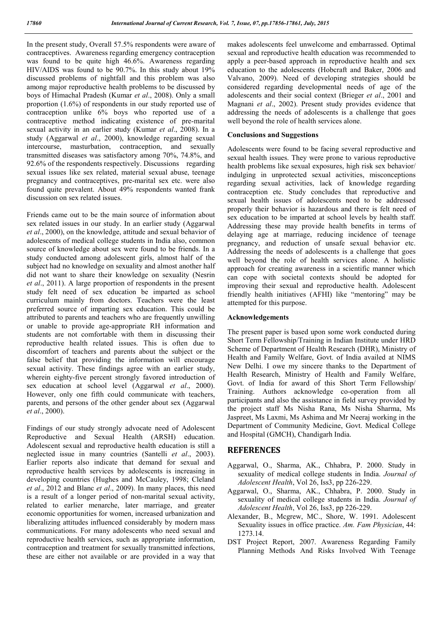In the present study, Overall 57.5% respondents were aware of contraceptives. Awareness regarding emergency contraception was found to be quite high 46.6%. Awareness regarding HIV/AIDS was found to be 90.7%. In this study about 19% discussed problems of nightfall and this problem was also among major reproductive health problems to be discussed by boys of Himachal Pradesh (Kumar *et al*., 2008). Only a small proportion (1.6%) of respondents in our study reported use of contraception unlike 6% boys who reported use of a contraceptive method indicating existence of pre-marital sexual activity in an earlier study (Kumar *et al*., 2008). In a study (Aggarwal *et al*., 2000), knowledge regarding sexual intercourse, masturbation, contraception, and sexually transmitted diseases was satisfactory among 70%, 74.8%, and 92.6% of the respondents respectively. Discussions regarding sexual issues like sex related, material sexual abuse, teenage pregnancy and contraceptives, pre-marital sex etc. were also found quite prevalent. About 49% respondents wanted frank discussion on sex related issues.

Friends came out to be the main source of information about sex related issues in our study. In an earlier study (Aggarwal *et al*., 2000), on the knowledge, attitude and sexual behavior of adolescents of medical college students in India also, common source of knowledge about sex were found to be friends. In a study conducted among adolescent girls, almost half of the subject had no knowledge on sexuality and almost another half did not want to share their knowledge on sexuality (Nesrin *et al*., 2011). A large proportion of respondents in the present study felt need of sex education be imparted as school curriculum mainly from doctors. Teachers were the least preferred source of imparting sex education. This could be attributed to parents and teachers who are frequently unwilling or unable to provide age-appropriate RH information and students are not comfortable with them in discussing their reproductive health related issues. This is often due to discomfort of teachers and parents about the subject or the false belief that providing the information will encourage sexual activity. These findings agree with an earlier study, wherein eighty-five percent strongly favored introduction of sex education at school level (Aggarwal *et al*., 2000). However, only one fifth could communicate with teachers, parents, and persons of the other gender about sex (Aggarwal *et al*., 2000).

Findings of our study strongly advocate need of Adolescent Reproductive and Sexual Health (ARSH) education. Adolescent sexual and reproductive health education is still a neglected issue in many countries (Santelli *et al*., 2003). Earlier reports also indicate that demand for sexual and reproductive health services by adolescents is increasing in developing countries (Hughes and McCauley, 1998; Cleland *et al*., 2012 and Blanc *et al*., 2009). In many places, this need is a result of a longer period of non-marital sexual activity, related to earlier menarche, later marriage, and greater economic opportunities for women, increased urbanization and liberalizing attitudes influenced considerably by modern mass communications. For many adolescents who need sexual and reproductive health services, such as appropriate information, contraception and treatment for sexually transmitted infections, these are either not available or are provided in a way that makes adolescents feel unwelcome and embarrassed. Optimal sexual and reproductive health education was recommended to apply a peer-based approach in reproductive health and sex education to the adolescents (Hobcraft and Baker, 2006 and Valvano, 2009). Need of developing strategies should be considered regarding developmental needs of age of the adolescents and their social context (Brieger *et al*., 2001 and Magnani *et al*., 2002). Present study provides evidence that addressing the needs of adolescents is a challenge that goes well beyond the role of health services alone.

## **Conclusions and Suggestions**

Adolescents were found to be facing several reproductive and sexual health issues. They were prone to various reproductive health problems like sexual exposures, high risk sex behavior/ indulging in unprotected sexual activities, misconceptions regarding sexual activities, lack of knowledge regarding contraception etc. Study concludes that reproductive and sexual health issues of adolescents need to be addressed properly their behavior is hazardous and there is felt need of sex education to be imparted at school levels by health staff. Addressing these may provide health benefits in terms of delaying age at marriage, reducing incidence of teenage pregnancy, and reduction of unsafe sexual behavior etc. Addressing the needs of adolescents is a challenge that goes well beyond the role of health services alone. A holistic approach for creating awareness in a scientific manner which can cope with societal contexts should be adopted for improving their sexual and reproductive health. Adolescent friendly health initiatives (AFHI) like "mentoring" may be attempted for this purpose.

## **Acknowledgements**

The present paper is based upon some work conducted during Short Term Fellowship/Training in Indian Institute under HRD Scheme of Department of Health Research (DHR), Ministry of Health and Family Welfare, Govt. of India availed at NIMS New Delhi. I owe my sincere thanks to the Department of Health Research, Ministry of Health and Family Welfare, Govt. of India for award of this Short Term Fellowship/ Training. Authors acknowledge co-operation from all participants and also the assistance in field survey provided by the project staff Ms Nisha Rana, Ms Nisha Sharma, Ms Jaspreet, Ms Laxmi, Ms Ashima and Mr Neeraj working in the Department of Community Medicine, Govt. Medical College and Hospital (GMCH), Chandigarh India.

## **REFERENCES**

- Aggarwal, O., Sharma, AK., Chhabra, P. 2000. Study in sexuality of medical college students in India. *Journal of Adolescent Health*, Vol 26, Iss3, pp 226-229.
- Aggarwal, O., Sharma, AK., Chhabra, P. 2000. Study in sexuality of medical college students in India. *Journal of Adolescent Health*, Vol 26, Iss3, pp 226-229.
- Alexander, B., Mcgrew, MC., Shore, W. 1991. Adolescent Sexuality issues in office practice. *Am. Fam Physician*, 44: 1273.14.
- DST Project Report, 2007. Awareness Regarding Family Planning Methods And Risks Involved With Teenage